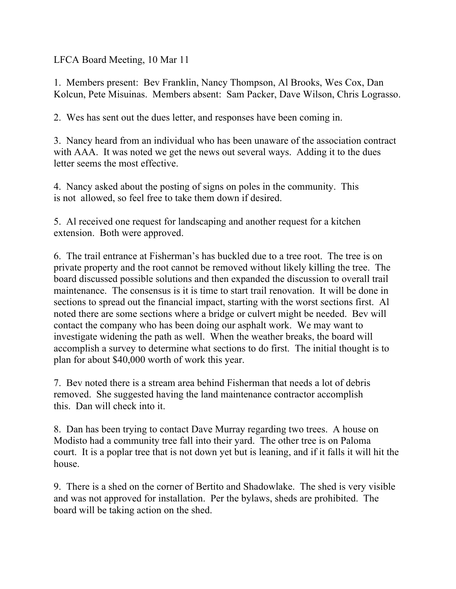LFCA Board Meeting, 10 Mar 11

1. Members present: Bev Franklin, Nancy Thompson, Al Brooks, Wes Cox, Dan Kolcun, Pete Misuinas. Members absent: Sam Packer, Dave Wilson, Chris Lograsso.

2. Wes has sent out the dues letter, and responses have been coming in.

3. Nancy heard from an individual who has been unaware of the association contract with AAA. It was noted we get the news out several ways. Adding it to the dues letter seems the most effective.

4. Nancy asked about the posting of signs on poles in the community. This is not allowed, so feel free to take them down if desired.

5. Al received one request for landscaping and another request for a kitchen extension. Both were approved.

6. The trail entrance at Fisherman's has buckled due to a tree root. The tree is on private property and the root cannot be removed without likely killing the tree. The board discussed possible solutions and then expanded the discussion to overall trail maintenance. The consensus is it is time to start trail renovation. It will be done in sections to spread out the financial impact, starting with the worst sections first. Al noted there are some sections where a bridge or culvert might be needed. Bev will contact the company who has been doing our asphalt work. We may want to investigate widening the path as well. When the weather breaks, the board will accomplish a survey to determine what sections to do first. The initial thought is to plan for about \$40,000 worth of work this year.

7. Bev noted there is a stream area behind Fisherman that needs a lot of debris removed. She suggested having the land maintenance contractor accomplish this. Dan will check into it.

8. Dan has been trying to contact Dave Murray regarding two trees. A house on Modisto had a community tree fall into their yard. The other tree is on Paloma court. It is a poplar tree that is not down yet but is leaning, and if it falls it will hit the house.

9. There is a shed on the corner of Bertito and Shadowlake. The shed is very visible and was not approved for installation. Per the bylaws, sheds are prohibited. The board will be taking action on the shed.